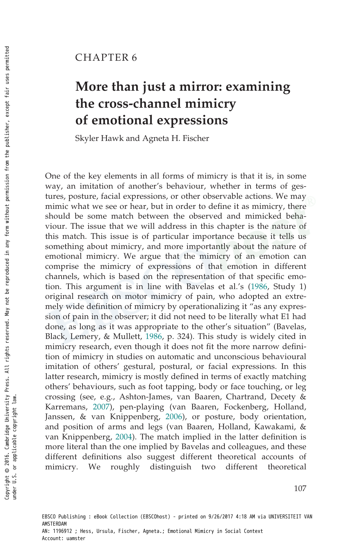## CHAPTER 6

# More than just a mirror: examining the cross-channel mimicry of emotional expressions

Skyler Hawk and Agneta H. Fischer

One of the key elements in all forms of mimicry is that it is, in some way, an imitation of another's behaviour, whether in terms of gestures, posture, facial expressions, or other observable actions. We may mimic what we see or hear, but in order to define it as mimicry, there should be some match between the observed and mimicked behaviour. The issue that we will address in this chapter is the nature of this match. This issue is of particular importance because it tells us something about mimicry, and more importantly about the nature of emotional mimicry. We argue that the mimicry of an emotion can comprise the mimicry of expressions of that emotion in different channels, which is based on the representation of that specific emotion. This argument is in line with Bavelas et al.'s (1986, Study 1) original research on motor mimicry of pain, who adopted an extremely wide definition of mimicry by operationalizing it "as any expression of pain in the observer; it did not need to be literally what E1 had done, as long as it was appropriate to the other's situation" (Bavelas, Black, Lemery, & Mullett, 1986, p. 324). This study is widely cited in mimicry research, even though it does not fit the more narrow definition of mimicry in studies on automatic and unconscious behavioural imitation of others' gestural, postural, or facial expressions. In this latter research, mimicry is mostly defined in terms of exactly matching others' behaviours, such as foot tapping, body or face touching, or leg crossing (see, e.g., Ashton-James, van Baaren, Chartrand, Decety & Karremans, 2007), pen-playing (van Baaren, Fockenberg, Holland, Janssen, & van Knippenberg, 2006), or posture, body orientation, and position of arms and legs (van Baaren, Holland, Kawakami, & van Knippenberg, 2004). The match implied in the latter definition is more literal than the one implied by Bavelas and colleagues, and these different definitions also suggest different theoretical accounts of mimicry. We roughly distinguish two different theoretical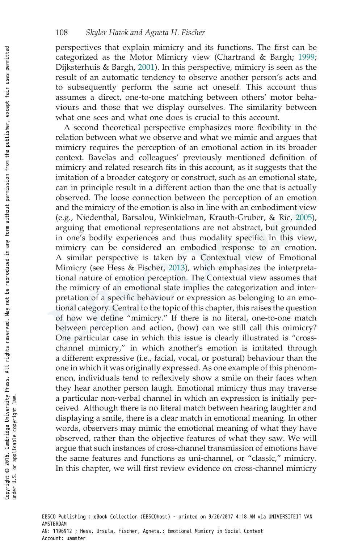perspectives that explain mimicry and its functions. The first can be categorized as the Motor Mimicry view (Chartrand & Bargh; 1999; Dijksterhuis & Bargh, 2001). In this perspective, mimicry is seen as the result of an automatic tendency to observe another person's acts and to subsequently perform the same act oneself. This account thus assumes a direct, one-to-one matching between others' motor behaviours and those that we display ourselves. The similarity between what one sees and what one does is crucial to this account.

A second theoretical perspective emphasizes more flexibility in the relation between what we observe and what we mimic and argues that mimicry requires the perception of an emotional action in its broader context. Bavelas and colleagues' previously mentioned definition of mimicry and related research fits in this account, as it suggests that the imitation of a broader category or construct, such as an emotional state, can in principle result in a different action than the one that is actually observed. The loose connection between the perception of an emotion and the mimicry of the emotion is also in line with an embodiment view (e.g., Niedenthal, Barsalou, Winkielman, Krauth-Gruber, & Ric, 2005), arguing that emotional representations are not abstract, but grounded in one's bodily experiences and thus modality specific. In this view, mimicry can be considered an embodied response to an emotion. A similar perspective is taken by a Contextual view of Emotional Mimicry (see Hess & Fischer, 2013), which emphasizes the interpretational nature of emotion perception. The Contextual view assumes that the mimicry of an emotional state implies the categorization and interpretation of a specific behaviour or expression as belonging to an emotional category. Central to the topic of this chapter, this raises the question of how we define "mimicry." If there is no literal, one-to-one match between perception and action, (how) can we still call this mimicry? One particular case in which this issue is clearly illustrated is "crosschannel mimicry," in which another's emotion is imitated through a different expressive (i.e., facial, vocal, or postural) behaviour than the one in which it was originally expressed. As one example of this phenomenon, individuals tend to reflexively show a smile on their faces when they hear another person laugh. Emotional mimicry thus may traverse a particular non-verbal channel in which an expression is initially perceived. Although there is no literal match between hearing laughter and displaying a smile, there is a clear match in emotional meaning. In other words, observers may mimic the emotional meaning of what they have observed, rather than the objective features of what they saw. We will argue that such instances of cross-channel transmission of emotions have the same features and functions as uni-channel, or "classic," mimicry. In this chapter, we will first review evidence on cross-channel mimicry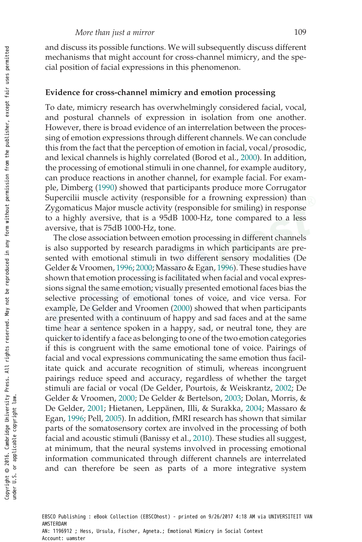and discuss its possible functions. We will subsequently discuss different mechanisms that might account for cross-channel mimicry, and the special position of facial expressions in this phenomenon.

#### Evidence for cross-channel mimicry and emotion processing

To date, mimicry research has overwhelmingly considered facial, vocal, and postural channels of expression in isolation from one another. However, there is broad evidence of an interrelation between the processing of emotion expressions through different channels. We can conclude this from the fact that the perception of emotion in facial, vocal/prosodic, and lexical channels is highly correlated (Borod et al., 2000). In addition, the processing of emotional stimuli in one channel, for example auditory, can produce reactions in another channel, for example facial. For example, Dimberg (1990) showed that participants produce more Corrugator Supercilii muscle activity (responsible for a frowning expression) than Zygomaticus Major muscle activity (responsible for smiling) in response to a highly aversive, that is a 95dB 1000-Hz, tone compared to a less aversive, that is 75dB 1000-Hz, tone.

The close association between emotion processing in different channels is also supported by research paradigms in which participants are presented with emotional stimuli in two different sensory modalities (De Gelder & Vroomen, 1996; 2000; Massaro & Egan, 1996). These studies have shown that emotion processing is facilitated when facial and vocal expressions signal the same emotion; visually presented emotional faces bias the selective processing of emotional tones of voice, and vice versa. For example, De Gelder and Vroomen (2000) showed that when participants are presented with a continuum of happy and sad faces and at the same time hear a sentence spoken in a happy, sad, or neutral tone, they are quicker to identify a face as belonging to one of the two emotion categories if this is congruent with the same emotional tone of voice. Pairings of facial and vocal expressions communicating the same emotion thus facilitate quick and accurate recognition of stimuli, whereas incongruent pairings reduce speed and accuracy, regardless of whether the target stimuli are facial or vocal (De Gelder, Pourtois, & Weiskrantz, 2002; De Gelder & Vroomen, 2000; De Gelder & Bertelson, 2003; Dolan, Morris, & De Gelder, 2001; Hietanen, Leppänen, Illi, & Surakka, 2004; Massaro & Egan, 1996; Pell, 2005). In addition, fMRI research has shown that similar parts of the somatosensory cortex are involved in the processing of both facial and acoustic stimuli (Banissy et al., 2010). These studies all suggest, at minimum, that the neural systems involved in processing emotional information communicated through different channels are interrelated and can therefore be seen as parts of a more integrative system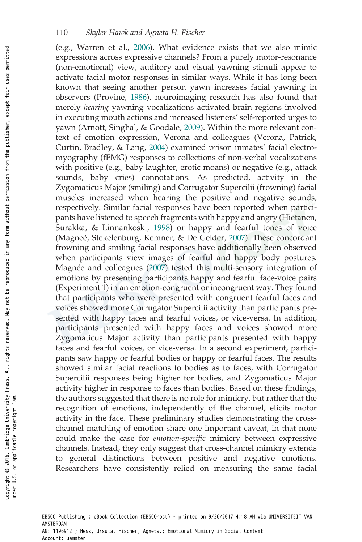(e.g., Warren et al., 2006). What evidence exists that we also mimic expressions across expressive channels? From a purely motor-resonance (non-emotional) view, auditory and visual yawning stimuli appear to activate facial motor responses in similar ways. While it has long been known that seeing another person yawn increases facial yawning in observers (Provine, 1986), neuroimaging research has also found that merely hearing yawning vocalizations activated brain regions involved in executing mouth actions and increased listeners' self-reported urges to yawn (Arnott, Singhal, & Goodale, 2009). Within the more relevant context of emotion expression, Verona and colleagues (Verona, Patrick, Curtin, Bradley, & Lang, 2004) examined prison inmates' facial electromyography (fEMG) responses to collections of non-verbal vocalizations with positive (e.g., baby laughter, erotic moans) or negative (e.g., attack sounds, baby cries) connotations. As predicted, activity in the Zygomaticus Major (smiling) and Corrugator Supercilii (frowning) facial muscles increased when hearing the positive and negative sounds, respectively. Similar facial responses have been reported when participants have listened to speech fragments with happy and angry (Hietanen, Surakka, & Linnankoski, 1998) or happy and fearful tones of voice (Magneé, Stekelenburg, Kemner, & De Gelder, 2007). These concordant frowning and smiling facial responses have additionally been observed when participants view images of fearful and happy body postures. Magnée and colleagues (2007) tested this multi-sensory integration of emotions by presenting participants happy and fearful face-voice pairs (Experiment 1) in an emotion-congruent or incongruent way. They found that participants who were presented with congruent fearful faces and voices showed more Corrugator Supercilii activity than participants presented with happy faces and fearful voices, or vice-versa. In addition, participants presented with happy faces and voices showed more Zygomaticus Major activity than participants presented with happy faces and fearful voices, or vice-versa. In a second experiment, participants saw happy or fearful bodies or happy or fearful faces. The results showed similar facial reactions to bodies as to faces, with Corrugator Supercilii responses being higher for bodies, and Zygomaticus Major activity higher in response to faces than bodies. Based on these findings, the authors suggested that there is no role for mimicry, but rather that the recognition of emotions, independently of the channel, elicits motor activity in the face. These preliminary studies demonstrating the crosschannel matching of emotion share one important caveat, in that none could make the case for emotion-specific mimicry between expressive channels. Instead, they only suggest that cross-channel mimicry extends to general distinctions between positive and negative emotions. Researchers have consistently relied on measuring the same facial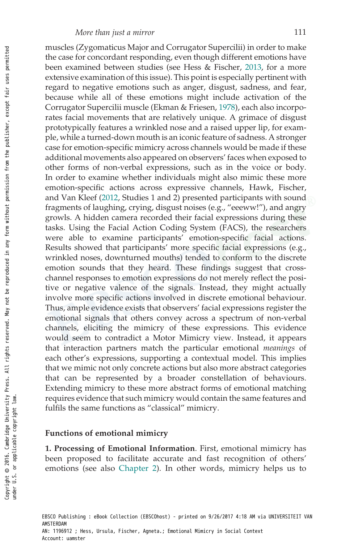muscles (Zygomaticus Major and Corrugator Supercilii) in order to make the case for concordant responding, even though different emotions have been examined between studies (see Hess & Fischer, 2013, for a more extensive examination of this issue). This point is especially pertinent with regard to negative emotions such as anger, disgust, sadness, and fear, because while all of these emotions might include activation of the Corrugator Supercilii muscle (Ekman & Friesen, 1978), each also incorporates facial movements that are relatively unique. A grimace of disgust prototypically features a wrinkled nose and a raised upper lip, for example, while a turned-down mouth is an iconic feature of sadness. A stronger case for emotion-specific mimicry across channels would be made if these additional movements also appeared on observers' faces when exposed to other forms of non-verbal expressions, such as in the voice or body. In order to examine whether individuals might also mimic these more emotion-specific actions across expressive channels, Hawk, Fischer, and Van Kleef (2012, Studies 1 and 2) presented participants with sound fragments of laughing, crying, disgust noises (e.g., "eeeww!"), and angry growls. A hidden camera recorded their facial expressions during these tasks. Using the Facial Action Coding System (FACS), the researchers were able to examine participants' emotion-specific facial actions. Results showed that participants' more specific facial expressions (e.g., wrinkled noses, downturned mouths) tended to conform to the discrete emotion sounds that they heard. These findings suggest that crosschannel responses to emotion expressions do not merely reflect the positive or negative valence of the signals. Instead, they might actually involve more specific actions involved in discrete emotional behaviour. Thus, ample evidence exists that observers' facial expressions register the emotional signals that others convey across a spectrum of non-verbal channels, eliciting the mimicry of these expressions. This evidence would seem to contradict a Motor Mimicry view. Instead, it appears that interaction partners match the particular emotional *meanings* of each other's expressions, supporting a contextual model. This implies that we mimic not only concrete actions but also more abstract categories that can be represented by a broader constellation of behaviours. Extending mimicry to these more abstract forms of emotional matching requires evidence that such mimicry would contain the same features and fulfils the same functions as "classical" mimicry.

#### Functions of emotional mimicry

1. Processing of Emotional Information. First, emotional mimicry has been proposed to facilitate accurate and fast recognition of others' emotions (see also Chapter 2). In other words, mimicry helps us to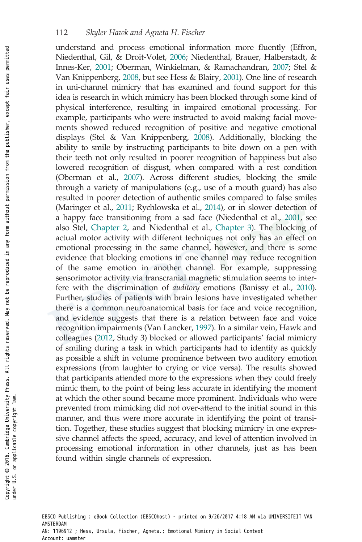understand and process emotional information more fluently (Effron, Niedenthal, Gil, & Droit-Volet, 2006; Niedenthal, Brauer, Halberstadt, & Innes-Ker, 2001; Oberman, Winkielman, & Ramachandran, 2007; Stel & Van Knippenberg, 2008, but see Hess & Blairy, 2001). One line of research in uni-channel mimicry that has examined and found support for this idea is research in which mimicry has been blocked through some kind of physical interference, resulting in impaired emotional processing. For example, participants who were instructed to avoid making facial movements showed reduced recognition of positive and negative emotional displays (Stel & Van Knippenberg, 2008). Additionally, blocking the ability to smile by instructing participants to bite down on a pen with their teeth not only resulted in poorer recognition of happiness but also lowered recognition of disgust, when compared with a rest condition (Oberman et al., 2007). Across different studies, blocking the smile through a variety of manipulations (e.g., use of a mouth guard) has also resulted in poorer detection of authentic smiles compared to false smiles (Maringer et al., 2011; Rychlowska et al., 2014), or in slower detection of a happy face transitioning from a sad face (Niedenthal et al., 2001, see also Stel, Chapter 2, and Niedenthal et al., Chapter 3). The blocking of actual motor activity with different techniques not only has an effect on emotional processing in the same channel, however, and there is some evidence that blocking emotions in one channel may reduce recognition of the same emotion in another channel. For example, suppressing sensorimotor activity via transcranial magnetic stimulation seems to interfere with the discrimination of auditory emotions (Banissy et al., 2010). Further, studies of patients with brain lesions have investigated whether there is a common neuroanatomical basis for face and voice recognition, and evidence suggests that there is a relation between face and voice recognition impairments (Van Lancker, 1997). In a similar vein, Hawk and colleagues (2012, Study 3) blocked or allowed participants' facial mimicry of smiling during a task in which participants had to identify as quickly as possible a shift in volume prominence between two auditory emotion expressions (from laughter to crying or vice versa). The results showed that participants attended more to the expressions when they could freely mimic them, to the point of being less accurate in identifying the moment at which the other sound became more prominent. Individuals who were prevented from mimicking did not over-attend to the initial sound in this manner, and thus were more accurate in identifying the point of transition. Together, these studies suggest that blocking mimicry in one expressive channel affects the speed, accuracy, and level of attention involved in processing emotional information in other channels, just as has been found within single channels of expression.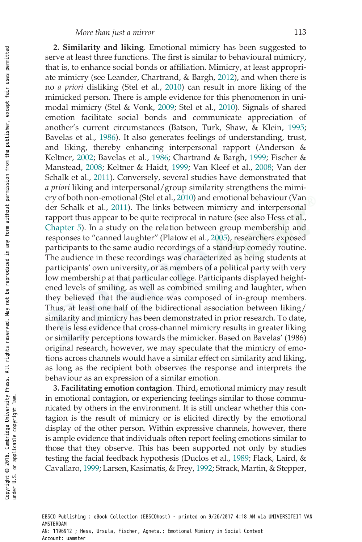2. Similarity and liking. Emotional mimicry has been suggested to serve at least three functions. The first is similar to behavioural mimicry, that is, to enhance social bonds or affiliation. Mimicry, at least appropriate mimicry (see Leander, Chartrand, & Bargh, 2012), and when there is no a priori disliking (Stel et al., 2010) can result in more liking of the mimicked person. There is ample evidence for this phenomenon in unimodal mimicry (Stel & Vonk, 2009; Stel et al., 2010). Signals of shared emotion facilitate social bonds and communicate appreciation of another's current circumstances (Batson, Turk, Shaw, & Klein, 1995; Bavelas et al., 1986). It also generates feelings of understanding, trust, and liking, thereby enhancing interpersonal rapport (Anderson & Keltner, 2002; Bavelas et al., 1986; Chartrand & Bargh, 1999; Fischer & Manstead, 2008; Keltner & Haidt, 1999; Van Kleef et al., 2008; Van der Schalk et al., 2011). Conversely, several studies have demonstrated that a priori liking and interpersonal/group similarity strengthens the mimicry of both non-emotional (Stel et al., 2010) and emotional behaviour (Van der Schalk et al., 2011). The links between mimicry and interpersonal rapport thus appear to be quite reciprocal in nature (see also Hess et al., Chapter 5). In a study on the relation between group membership and responses to "canned laughter" (Platow et al., 2005), researchers exposed participants to the same audio recordings of a stand-up comedy routine. The audience in these recordings was characterized as being students at participants' own university, or as members of a political party with very low membership at that particular college. Participants displayed heightened levels of smiling, as well as combined smiling and laughter, when they believed that the audience was composed of in-group members. Thus, at least one half of the bidirectional association between liking/ similarity and mimicry has been demonstrated in prior research. To date, there is less evidence that cross-channel mimicry results in greater liking or similarity perceptions towards the mimicker. Based on Bavelas' (1986) original research, however, we may speculate that the mimicry of emotions across channels would have a similar effect on similarity and liking, as long as the recipient both observes the response and interprets the behaviour as an expression of a similar emotion.

3. Facilitating emotion contagion. Third, emotional mimicry may result in emotional contagion, or experiencing feelings similar to those communicated by others in the environment. It is still unclear whether this contagion is the result of mimicry or is elicited directly by the emotional display of the other person. Within expressive channels, however, there is ample evidence that individuals often report feeling emotions similar to those that they observe. This has been supported not only by studies testing the facial feedback hypothesis (Duclos et al., 1989; Flack, Laird, & Cavallaro, 1999; Larsen, Kasimatis, & Frey, 1992; Strack, Martin, & Stepper,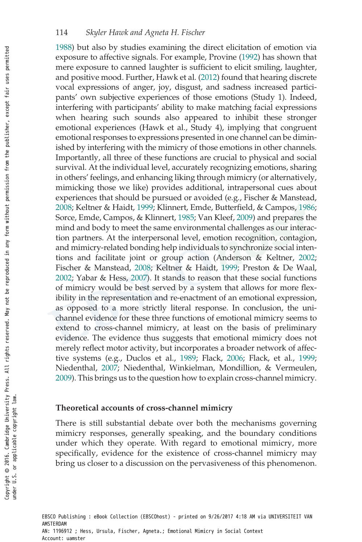1988) but also by studies examining the direct elicitation of emotion via exposure to affective signals. For example, Provine (1992) has shown that mere exposure to canned laughter is sufficient to elicit smiling, laughter, and positive mood. Further, Hawk et al. (2012) found that hearing discrete vocal expressions of anger, joy, disgust, and sadness increased participants' own subjective experiences of those emotions (Study 1). Indeed, interfering with participants' ability to make matching facial expressions when hearing such sounds also appeared to inhibit these stronger emotional experiences (Hawk et al., Study 4), implying that congruent emotional responses to expressions presented in one channel can be diminished by interfering with the mimicry of those emotions in other channels. Importantly, all three of these functions are crucial to physical and social survival. At the individual level, accurately recognizing emotions, sharing in others' feelings, and enhancing liking through mimicry (or alternatively, mimicking those we like) provides additional, intrapersonal cues about experiences that should be pursued or avoided (e.g., Fischer & Manstead, 2008; Keltner & Haidt, 1999; Klinnert, Emde, Butterfield, & Campos, 1986; Sorce, Emde, Campos, & Klinnert, 1985; Van Kleef, 2009) and prepares the mind and body to meet the same environmental challenges as our interaction partners. At the interpersonal level, emotion recognition, contagion, and mimicry-related bonding help individuals to synchronize social intentions and facilitate joint or group action (Anderson & Keltner, 2002; Fischer & Manstead, 2008; Keltner & Haidt, 1999; Preston & De Waal, 2002; Yabar & Hess, 2007). It stands to reason that these social functions of mimicry would be best served by a system that allows for more flexibility in the representation and re-enactment of an emotional expression, as opposed to a more strictly literal response. In conclusion, the unichannel evidence for these three functions of emotional mimicry seems to extend to cross-channel mimicry, at least on the basis of preliminary evidence. The evidence thus suggests that emotional mimicry does not merely reflect motor activity, but incorporates a broader network of affective systems (e.g., Duclos et al., 1989; Flack, 2006; Flack, et al., 1999; Niedenthal, 2007; Niedenthal, Winkielman, Mondillion, & Vermeulen, 2009). This brings us to the question how to explain cross-channel mimicry.

## Theoretical accounts of cross-channel mimicry

There is still substantial debate over both the mechanisms governing mimicry responses, generally speaking, and the boundary conditions under which they operate. With regard to emotional mimicry, more specifically, evidence for the existence of cross-channel mimicry may bring us closer to a discussion on the pervasiveness of this phenomenon.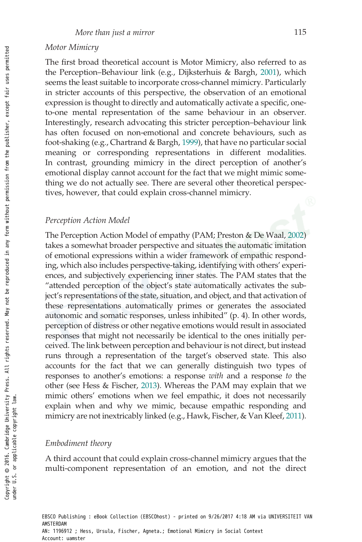#### Motor Mimicry

The first broad theoretical account is Motor Mimicry, also referred to as the Perception–Behaviour link (e.g., Dijksterhuis & Bargh, 2001), which seems the least suitable to incorporate cross-channel mimicry. Particularly in stricter accounts of this perspective, the observation of an emotional expression is thought to directly and automatically activate a specific, oneto-one mental representation of the same behaviour in an observer. Interestingly, research advocating this stricter perception–behaviour link has often focused on non-emotional and concrete behaviours, such as foot-shaking (e.g., Chartrand & Bargh, 1999), that have no particular social meaning or corresponding representations in different modalities. In contrast, grounding mimicry in the direct perception of another's emotional display cannot account for the fact that we might mimic something we do not actually see. There are several other theoretical perspectives, however, that could explain cross-channel mimicry.

#### Perception Action Model

The Perception Action Model of empathy (PAM; Preston & De Waal, 2002) takes a somewhat broader perspective and situates the automatic imitation of emotional expressions within a wider framework of empathic responding, which also includes perspective-taking, identifying with others' experiences, and subjectively experiencing inner states. The PAM states that the "attended perception of the object's state automatically activates the subject's representations of the state, situation, and object, and that activation of these representations automatically primes or generates the associated autonomic and somatic responses, unless inhibited" (p. 4). In other words, perception of distress or other negative emotions would result in associated responses that might not necessarily be identical to the ones initially perceived. The link between perception and behaviour is not direct, but instead runs through a representation of the target's observed state. This also accounts for the fact that we can generally distinguish two types of responses to another's emotions: a response with and a response to the other (see Hess & Fischer, 2013). Whereas the PAM may explain that we mimic others' emotions when we feel empathic, it does not necessarily explain when and why we mimic, because empathic responding and mimicry are not inextricably linked (e.g., Hawk, Fischer, & Van Kleef, 2011).

#### Embodiment theory

A third account that could explain cross-channel mimicry argues that the multi-component representation of an emotion, and not the direct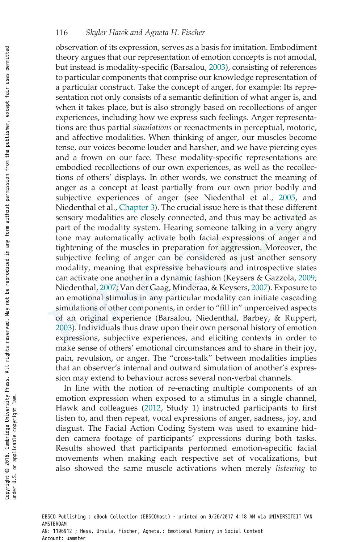observation of its expression, serves as a basis for imitation. Embodiment theory argues that our representation of emotion concepts is not amodal, but instead is modality-specific (Barsalou, 2003), consisting of references to particular components that comprise our knowledge representation of a particular construct. Take the concept of anger, for example: Its representation not only consists of a semantic definition of what anger is, and when it takes place, but is also strongly based on recollections of anger experiences, including how we express such feelings. Anger representations are thus partial simulations or reenactments in perceptual, motoric, and affective modalities. When thinking of anger, our muscles become tense, our voices become louder and harsher, and we have piercing eyes and a frown on our face. These modality-specific representations are embodied recollections of our own experiences, as well as the recollections of others' displays. In other words, we construct the meaning of anger as a concept at least partially from our own prior bodily and subjective experiences of anger (see Niedenthal et al., 2005, and Niedenthal et al., Chapter 3). The crucial issue here is that these different sensory modalities are closely connected, and thus may be activated as part of the modality system. Hearing someone talking in a very angry tone may automatically activate both facial expressions of anger and tightening of the muscles in preparation for aggression. Moreover, the subjective feeling of anger can be considered as just another sensory modality, meaning that expressive behaviours and introspective states can activate one another in a dynamic fashion (Keysers & Gazzola, 2009; Niedenthal, 2007; Van der Gaag, Minderaa, & Keysers, 2007). Exposure to an emotional stimulus in any particular modality can initiate cascading simulations of other components, in order to "fill in" unperceived aspects of an original experience (Barsalou, Niedenthal, Barbey, & Ruppert, 2003). Individuals thus draw upon their own personal history of emotion expressions, subjective experiences, and eliciting contexts in order to make sense of others' emotional circumstances and to share in their joy, pain, revulsion, or anger. The "cross-talk" between modalities implies that an observer's internal and outward simulation of another's expression may extend to behaviour across several non-verbal channels.

In line with the notion of re-enacting multiple components of an emotion expression when exposed to a stimulus in a single channel, Hawk and colleagues (2012, Study 1) instructed participants to first listen to, and then repeat, vocal expressions of anger, sadness, joy, and disgust. The Facial Action Coding System was used to examine hidden camera footage of participants' expressions during both tasks. Results showed that participants performed emotion-specific facial movements when making each respective set of vocalizations, but also showed the same muscle activations when merely listening to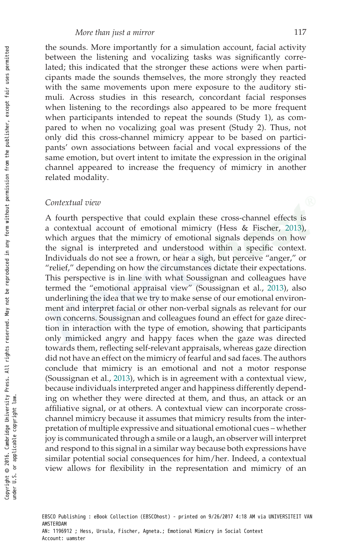the sounds. More importantly for a simulation account, facial activity between the listening and vocalizing tasks was significantly correlated; this indicated that the stronger these actions were when participants made the sounds themselves, the more strongly they reacted with the same movements upon mere exposure to the auditory stimuli. Across studies in this research, concordant facial responses when listening to the recordings also appeared to be more frequent when participants intended to repeat the sounds (Study 1), as compared to when no vocalizing goal was present (Study 2). Thus, not only did this cross-channel mimicry appear to be based on participants' own associations between facial and vocal expressions of the same emotion, but overt intent to imitate the expression in the original channel appeared to increase the frequency of mimicry in another related modality.

#### Contextual view

A fourth perspective that could explain these cross-channel effects is a contextual account of emotional mimicry (Hess & Fischer, 2013), which argues that the mimicry of emotional signals depends on how the signal is interpreted and understood within a specific context. Individuals do not see a frown, or hear a sigh, but perceive "anger," or "relief," depending on how the circumstances dictate their expectations. This perspective is in line with what Soussignan and colleagues have termed the "emotional appraisal view" (Soussignan et al., 2013), also underlining the idea that we try to make sense of our emotional environment and interpret facial or other non-verbal signals as relevant for our own concerns. Soussignan and colleagues found an effect for gaze direction in interaction with the type of emotion, showing that participants only mimicked angry and happy faces when the gaze was directed towards them, reflecting self-relevant appraisals, whereas gaze direction did not have an effect on the mimicry of fearful and sad faces. The authors conclude that mimicry is an emotional and not a motor response (Soussignan et al., 2013), which is in agreement with a contextual view, because individuals interpreted anger and happiness differently depending on whether they were directed at them, and thus, an attack or an affiliative signal, or at others. A contextual view can incorporate crosschannel mimicry because it assumes that mimicry results from the interpretation of multiple expressive and situational emotional cues – whether joy is communicated through a smile or a laugh, an observer will interpret and respond to this signal in a similar way because both expressions have similar potential social consequences for him/her. Indeed, a contextual view allows for flexibility in the representation and mimicry of an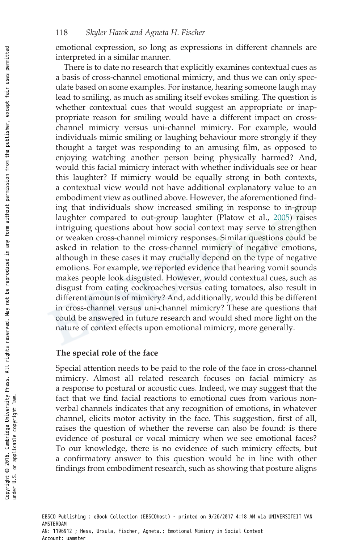emotional expression, so long as expressions in different channels are interpreted in a similar manner.

There is to date no research that explicitly examines contextual cues as a basis of cross-channel emotional mimicry, and thus we can only speculate based on some examples. For instance, hearing someone laugh may lead to smiling, as much as smiling itself evokes smiling. The question is whether contextual cues that would suggest an appropriate or inappropriate reason for smiling would have a different impact on crosschannel mimicry versus uni-channel mimicry. For example, would individuals mimic smiling or laughing behaviour more strongly if they thought a target was responding to an amusing film, as opposed to enjoying watching another person being physically harmed? And, would this facial mimicry interact with whether individuals see or hear this laughter? If mimicry would be equally strong in both contexts, a contextual view would not have additional explanatory value to an embodiment view as outlined above. However, the aforementioned finding that individuals show increased smiling in response to in-group laughter compared to out-group laughter (Platow et al., 2005) raises intriguing questions about how social context may serve to strengthen or weaken cross-channel mimicry responses. Similar questions could be asked in relation to the cross-channel mimicry of negative emotions, although in these cases it may crucially depend on the type of negative emotions. For example, we reported evidence that hearing vomit sounds makes people look disgusted. However, would contextual cues, such as disgust from eating cockroaches versus eating tomatoes, also result in different amounts of mimicry? And, additionally, would this be different in cross-channel versus uni-channel mimicry? These are questions that could be answered in future research and would shed more light on the nature of context effects upon emotional mimicry, more generally.

#### The special role of the face

Special attention needs to be paid to the role of the face in cross-channel mimicry. Almost all related research focuses on facial mimicry as a response to postural or acoustic cues. Indeed, we may suggest that the fact that we find facial reactions to emotional cues from various nonverbal channels indicates that any recognition of emotions, in whatever channel, elicits motor activity in the face. This suggestion, first of all, raises the question of whether the reverse can also be found: is there evidence of postural or vocal mimicry when we see emotional faces? To our knowledge, there is no evidence of such mimicry effects, but a confirmatory answer to this question would be in line with other findings from embodiment research, such as showing that posture aligns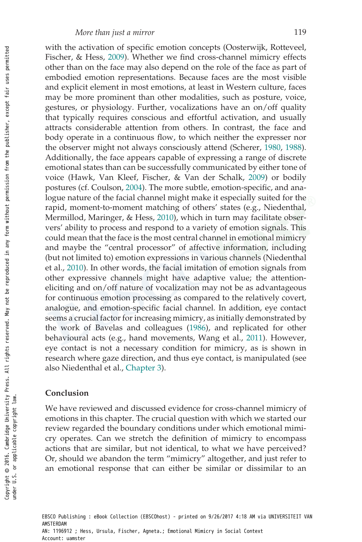with the activation of specific emotion concepts (Oosterwijk, Rotteveel, Fischer, & Hess, 2009). Whether we find cross-channel mimicry effects other than on the face may also depend on the role of the face as part of embodied emotion representations. Because faces are the most visible and explicit element in most emotions, at least in Western culture, faces may be more prominent than other modalities, such as posture, voice, gestures, or physiology. Further, vocalizations have an on/off quality that typically requires conscious and effortful activation, and usually attracts considerable attention from others. In contrast, the face and body operate in a continuous flow, to which neither the expresser nor the observer might not always consciously attend (Scherer, 1980, 1988). Additionally, the face appears capable of expressing a range of discrete emotional states than can be successfully communicated by either tone of voice (Hawk, Van Kleef, Fischer, & Van der Schalk, 2009) or bodily postures (cf. Coulson, 2004). The more subtle, emotion-specific, and analogue nature of the facial channel might make it especially suited for the rapid, moment-to-moment matching of others' states (e.g., Niedenthal, Mermillod, Maringer, & Hess, 2010), which in turn may facilitate observers' ability to process and respond to a variety of emotion signals. This could mean that the face is the most central channel in emotional mimicry and maybe the "central processor" of affective information, including (but not limited to) emotion expressions in various channels (Niedenthal et al., 2010). In other words, the facial imitation of emotion signals from other expressive channels might have adaptive value; the attentioneliciting and on/off nature of vocalization may not be as advantageous for continuous emotion processing as compared to the relatively covert, analogue, and emotion-specific facial channel. In addition, eye contact seems a crucial factor for increasing mimicry, as initially demonstrated by the work of Bavelas and colleagues (1986), and replicated for other behavioural acts (e.g., hand movements, Wang et al., 2011). However, eye contact is not a necessary condition for mimicry, as is shown in research where gaze direction, and thus eye contact, is manipulated (see also Niedenthal et al., Chapter 3).

#### Conclusion

We have reviewed and discussed evidence for cross-channel mimicry of emotions in this chapter. The crucial question with which we started our review regarded the boundary conditions under which emotional mimicry operates. Can we stretch the definition of mimicry to encompass actions that are similar, but not identical, to what we have perceived? Or, should we abandon the term "mimicry" altogether, and just refer to an emotional response that can either be similar or dissimilar to an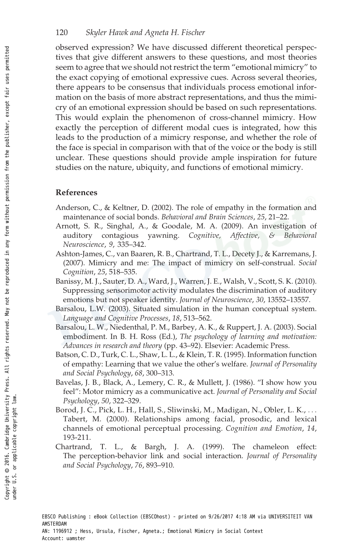#### 120 Skyler Hawk and Agneta H. Fischer

observed expression? We have discussed different theoretical perspectives that give different answers to these questions, and most theories seem to agree that we should not restrict the term "emotional mimicry" to the exact copying of emotional expressive cues. Across several theories, there appears to be consensus that individuals process emotional information on the basis of more abstract representations, and thus the mimicry of an emotional expression should be based on such representations. This would explain the phenomenon of cross-channel mimicry. How exactly the perception of different modal cues is integrated, how this leads to the production of a mimicry response, and whether the role of the face is special in comparison with that of the voice or the body is still unclear. These questions should provide ample inspiration for future studies on the nature, ubiquity, and functions of emotional mimicry.

### References

- Anderson, C., & Keltner, D. (2002). The role of empathy in the formation and maintenance of social bonds. Behavioral and Brain Sciences, 25, 21–22.
- Arnott, S. R., Singhal, A., & Goodale, M. A. (2009). An investigation of auditory contagious yawning. Cognitive, Affective, & Behavioral Neuroscience, 9, 335–342.
- Ashton-James, C., van Baaren, R. B., Chartrand, T. L., Decety J., & Karremans, J. (2007). Mimicry and me: The impact of mimicry on self-construal. Social Cognition, 25, 518–535.
- Banissy, M. J., Sauter, D. A., Ward, J., Warren, J. E., Walsh, V., Scott, S. K. (2010). Suppressing sensorimotor activity modulates the discrimination of auditory emotions but not speaker identity. Journal of Neuroscience, 30, 13552–13557.
- Barsalou, L.W. (2003). Situated simulation in the human conceptual system. Language and Cognitive Processes, 18, 513–562.
- Barsalou, L. W., Niedenthal, P. M., Barbey, A. K., & Ruppert, J. A. (2003). Social embodiment. In B. H. Ross (Ed.), The psychology of learning and motivation: Advances in research and theory (pp. 43–92). Elsevier: Academic Press.
- Batson, C. D., Turk, C. L., Shaw, L. L., & Klein, T. R. (1995). Information function of empathy: Learning that we value the other's welfare. Journal of Personality and Social Psychology, 68, 300–313.
- Bavelas, J. B., Black, A., Lemery, C. R., & Mullett, J. (1986). "I show how you feel": Motor mimicry as a communicative act. Journal of Personality and Social Psychology, 50, 322–329.
- Borod, J. C., Pick, L. H., Hall, S., Sliwinski, M., Madigan, N., Obler, L. K., ... Tabert, M. (2000). Relationships among facial, prosodic, and lexical channels of emotional perceptual processing. Cognition and Emotion, 14, 193-211.
- Chartrand, T. L., & Bargh, J. A. (1999). The chameleon effect: The perception-behavior link and social interaction. Journal of Personality and Social Psychology, 76, 893–910.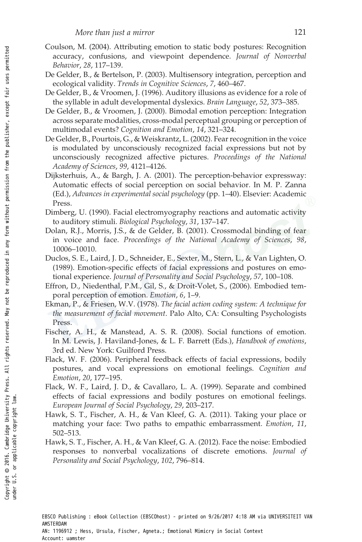- Coulson, M. (2004). Attributing emotion to static body postures: Recognition accuracy, confusions, and viewpoint dependence. Journal of Nonverbal Behavior, 28, 117–139.
- De Gelder, B., & Bertelson, P. (2003). Multisensory integration, perception and ecological validity. Trends in Cognitive Sciences, 7, 460–467.
- De Gelder, B., & Vroomen, J. (1996). Auditory illusions as evidence for a role of the syllable in adult developmental dyslexics. Brain Language, 52, 373–385.
- De Gelder, B., & Vroomen, J. (2000). Bimodal emotion perception: Integration across separate modalities, cross-modal perceptual grouping or perception of multimodal events? Cognition and Emotion, 14, 321–324.
- De Gelder, B., Pourtois, G., & Weiskrantz, L. (2002). Fear recognition in the voice is modulated by unconsciously recognized facial expressions but not by unconsciously recognized affective pictures. Proceedings of the National Academy of Sciences, 99, 4121–4126.
- Dijksterhuis, A., & Bargh, J. A. (2001). The perception-behavior expressway: Automatic effects of social perception on social behavior. In M. P. Zanna (Ed.), Advances in experimental social psychology (pp. 1–40). Elsevier: Academic Press.
- Dimberg, U. (1990). Facial electromyography reactions and automatic activity to auditory stimuli. Biological Psychology, 31, 137–147.
- Dolan, R.J., Morris, J.S., & de Gelder, B. (2001). Crossmodal binding of fear in voice and face. Proceedings of the National Academy of Sciences, 98, 10006–10010.
- Duclos, S. E., Laird, J. D., Schneider, E., Sexter, M., Stern, L., & Van Lighten, O. (1989). Emotion-specific effects of facial expressions and postures on emotional experience. Journal of Personality and Social Psychology, 57, 100–108.
- Effron, D., Niedenthal, P.M., Gil, S., & Droit-Volet, S., (2006). Embodied temporal perception of emotion. Emotion, 6, 1–9.
- Ekman, P., & Friesen, W.V. (1978). The facial action coding system: A technique for the measurement of facial movement. Palo Alto, CA: Consulting Psychologists Press.
- Fischer, A. H., & Manstead, A. S. R. (2008). Social functions of emotion. In M. Lewis, J. Haviland-Jones, & L. F. Barrett (Eds.), Handbook of emotions, 3rd ed. New York: Guilford Press.
- Flack, W. F. (2006). Peripheral feedback effects of facial expressions, bodily postures, and vocal expressions on emotional feelings. Cognition and Emotion, 20, 177–195.
- Flack, W. F., Laird, J. D., & Cavallaro, L. A. (1999). Separate and combined effects of facial expressions and bodily postures on emotional feelings. European Journal of Social Psychology, 29, 203–217.
- Hawk, S. T., Fischer, A. H., & Van Kleef, G. A. (2011). Taking your place or matching your face: Two paths to empathic embarrassment. Emotion, 11, 502–513.
- Hawk, S. T., Fischer, A. H., & Van Kleef, G. A. (2012). Face the noise: Embodied responses to nonverbal vocalizations of discrete emotions. Journal of Personality and Social Psychology, 102, 796–814.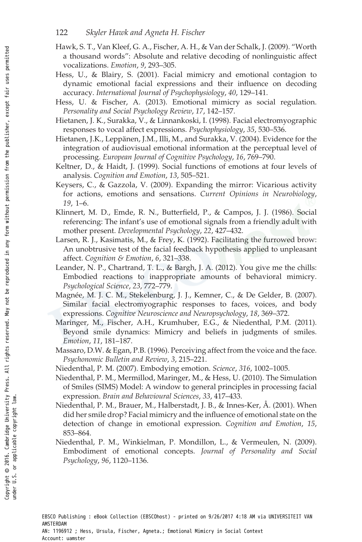#### 122 Skyler Hawk and Agneta H. Fischer

- Hawk, S. T., Van Kleef, G. A., Fischer, A. H., & Van der Schalk, J. (2009). "Worth a thousand words": Absolute and relative decoding of nonlinguistic affect vocalizations. Emotion, 9, 293–305.
- Hess, U., & Blairy, S. (2001). Facial mimicry and emotional contagion to dynamic emotional facial expressions and their influence on decoding accuracy. International Journal of Psychophysiology, 40, 129–141.
- Hess, U. & Fischer, A. (2013). Emotional mimicry as social regulation. Personality and Social Psychology Review, 17, 142–157.
- Hietanen, J. K., Surakka, V., & Linnankoski, I. (1998). Facial electromyographic responses to vocal affect expressions. Psychophysiology, 35, 530–536.
- Hietanen, J.K., Leppänen, J.M., Illi, M., and Surakka, V. (2004). Evidence for the integration of audiovisual emotional information at the perceptual level of processing. European Journal of Cognitive Psychology, 16, 769–790.
- Keltner, D., & Haidt, J. (1999). Social functions of emotions at four levels of analysis. Cognition and Emotion, 13, 505–521.
- Keysers, C., & Gazzola, V. (2009). Expanding the mirror: Vicarious activity for actions, emotions and sensations. Current Opinions in Neurobiology, 19, 1–6.
- Klinnert, M. D., Emde, R. N., Butterfield, P., & Campos, J. J. (1986). Social referencing: The infant's use of emotional signals from a friendly adult with mother present. Developmental Psychology, 22, 427–432.
- Larsen, R. J., Kasimatis, M., & Frey, K. (1992). Facilitating the furrowed brow: An unobtrusive test of the facial feedback hypothesis applied to unpleasant affect. Cognition & Emotion, 6, 321–338.
- Leander, N. P., Chartrand, T. L., & Bargh, J. A. (2012). You give me the chills: Embodied reactions to inappropriate amounts of behavioral mimicry. Psychological Science, 23, 772–779.
- Magnée, M. J. C. M., Stekelenburg, J. J., Kemner, C., & De Gelder, B. (2007). Similar facial electromyographic responses to faces, voices, and body expressions. Cognitive Neuroscience and Neuropsychology, 18, 369–372.
- Maringer, M., Fischer, A.H., Krumhuber, E.G., & Niedenthal, P.M. (2011). Beyond smile dynamics: Mimicry and beliefs in judgments of smiles. Emotion, 11, 181–187.
- Massaro, D.W. & Egan, P.B. (1996). Perceiving affect from the voice and the face. Psychonomic Bulletin and Review, 3, 215–221.
- Niedenthal, P. M. (2007). Embodying emotion. Science, 316, 1002–1005.
- Niedenthal, P. M., Mermillod, Maringer, M., & Hess, U. (2010). The Simulation of Smiles (SIMS) Model: A window to general principles in processing facial expression. Brain and Behavioural Sciences, 33, 417–433.
- Niedenthal, P. M., Brauer, M., Halberstadt, J. B., & Innes-Ker, Å. (2001). When did her smile drop? Facial mimicry and the influence of emotional state on the detection of change in emotional expression. Cognition and Emotion, 15, 853–864.
- Niedenthal, P. M., Winkielman, P. Mondillon, L., & Vermeulen, N. (2009). Embodiment of emotional concepts. Journal of Personality and Social Psychology, 96, 1120–1136.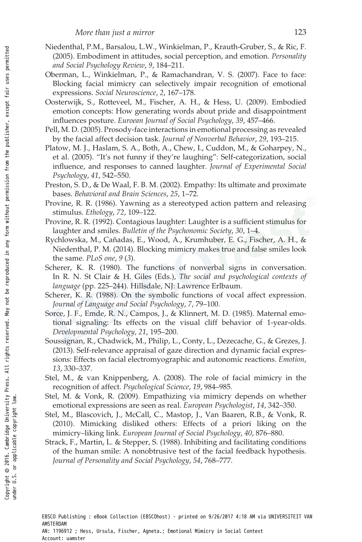- Niedenthal, P.M., Barsalou, L.W., Winkielman, P., Krauth-Gruber, S., & Ric, F. (2005). Embodiment in attitudes, social perception, and emotion. Personality and Social Psychology Review, 9, 184–211.
- Oberman, L., Winkielman, P., & Ramachandran, V. S. (2007). Face to face: Blocking facial mimicry can selectively impair recognition of emotional expressions. Social Neuroscience, 2, 167–178.
- Oosterwijk, S., Rotteveel, M., Fischer, A. H., & Hess, U. (2009). Embodied emotion concepts: How generating words about pride and disappointment influences posture. Euroean Journal of Social Psychology, 39, 457–466.
- Pell, M. D. (2005). Prosody-face interactions in emotional processing as revealed by the facial affect decision task. Journal of Nonverbal Behavior, 29, 193–215.
- Platow, M. J., Haslam, S. A., Both, A., Chew, I., Cuddon, M., & Goharpey, N., et al. (2005). "It's not funny if they're laughing": Self-categorization, social influence, and responses to canned laughter. Journal of Experimental Social Psychology, 41, 542–550.
- Preston, S. D., & De Waal, F. B. M. (2002). Empathy: Its ultimate and proximate bases. Behavioral and Brain Sciences, 25, 1–72.
- Provine, R. R. (1986). Yawning as a stereotyped action pattern and releasing stimulus. Ethology, 72, 109–122.
- Provine, R. R. (1992). Contagious laughter: Laughter is a sufficient stimulus for laughter and smiles. Bulletin of the Psychonomic Society, 30, 1–4.
- Rychlowska, M., Cañadas, E., Wood, A., Krumhuber, E. G., Fischer, A. H., & Niedenthal, P. M. (2014). Blocking mimicry makes true and false smiles look the same. PLoS one, 9 (3).
- Scherer, K. R. (1980). The functions of nonverbal signs in conversation. In R. N. St Clair & H. Giles (Eds.), The social and psychological contexts of language (pp. 225–244). Hillsdale, NJ: Lawrence Erlbaum.
- Scherer, K. R. (1988). On the symbolic functions of vocal affect expression. Journal of Language and Social Psychology, 7, 79–100.
- Sorce, J. F., Emde, R. N., Campos, J., & Klinnert, M. D. (1985). Maternal emotional signaling: Its effects on the visual cliff behavior of 1-year-olds. Developmental Psychology, 21, 195–200.
- Soussignan, R., Chadwick, M., Philip, L., Conty, L., Dezecache, G., & Grezes, J. (2013). Self-relevance appraisal of gaze direction and dynamic facial expressions: Effects on facial electromyographic and autonomic reactions. Emotion, 13, 330–337.
- Stel, M., & van Knippenberg, A. (2008). The role of facial mimicry in the recognition of affect. Psychological Science, 19, 984–985.
- Stel, M. & Vonk, R. (2009). Empathizing via mimicry depends on whether emotional expressions are seen as real. European Psychologist, 14, 342–350.
- Stel, M., Blascovich, J., McCall, C., Mastop, J., Van Baaren, R.B., & Vonk, R. (2010). Mimicking disliked others: Effects of a priori liking on the mimicry–liking link. European Journal of Social Psychology, 40, 876–880.
- Strack, F., Martin, L. & Stepper, S. (1988). Inhibiting and facilitating conditions of the human smile: A nonobtrusive test of the facial feedback hypothesis. Journal of Personality and Social Psychology, 54, 768–777.